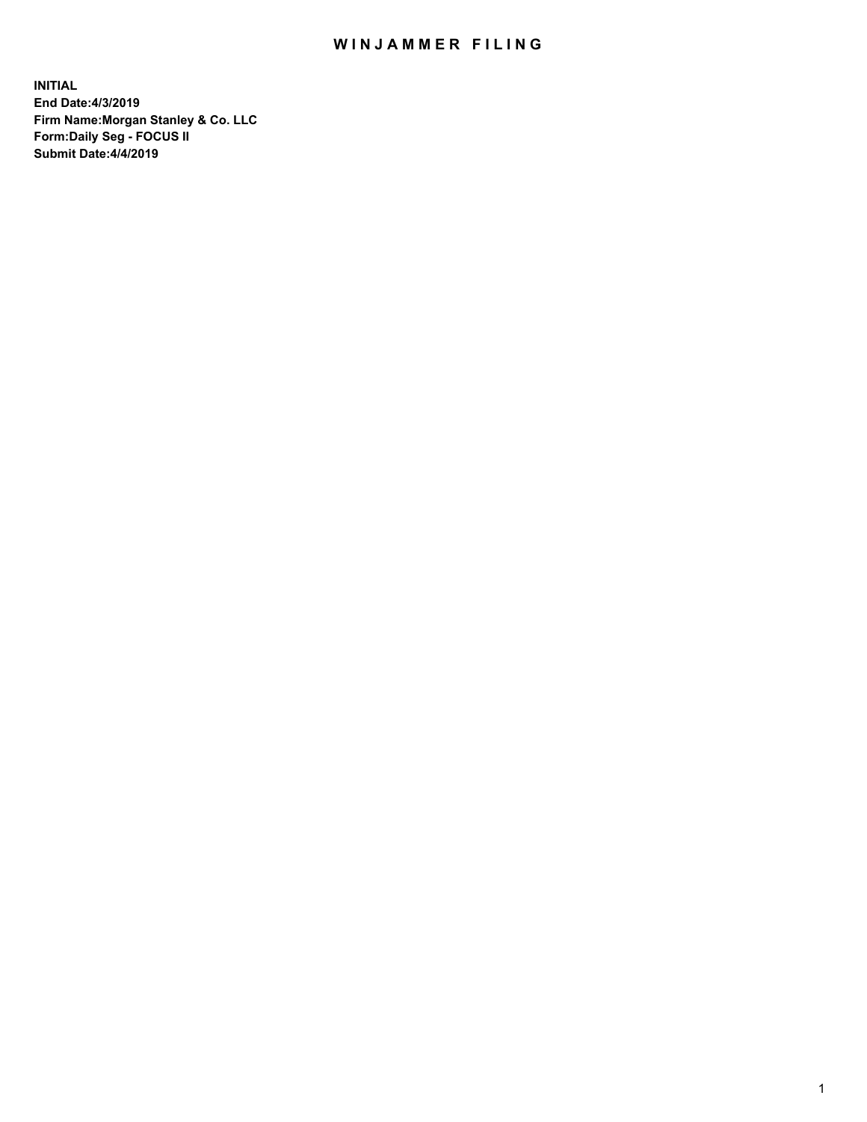## WIN JAMMER FILING

**INITIAL End Date:4/3/2019 Firm Name:Morgan Stanley & Co. LLC Form:Daily Seg - FOCUS II Submit Date:4/4/2019**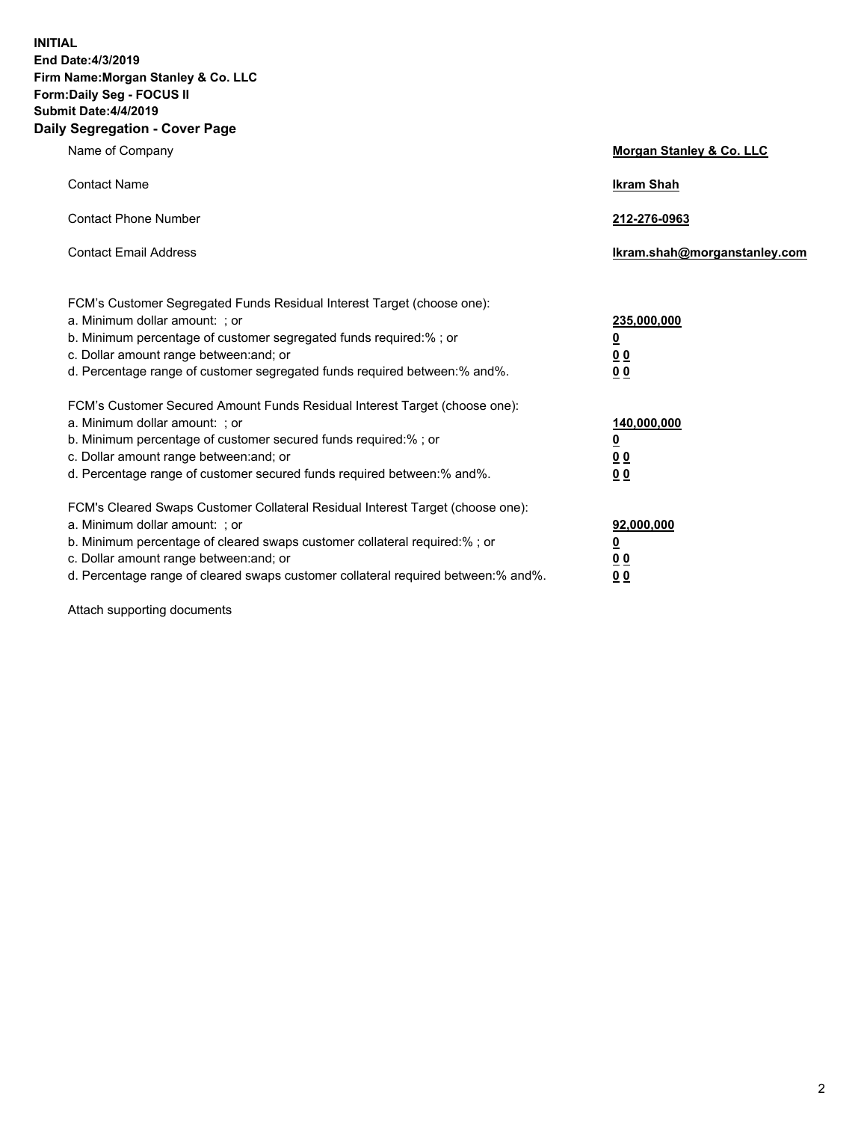**INITIAL End Date:4/3/2019 Firm Name:Morgan Stanley & Co. LLC Form:Daily Seg - FOCUS II Submit Date:4/4/2019 Daily Segregation - Cover Page**

| Name of Company                                                                                                                                                                                                                                                                                                                | Morgan Stanley & Co. LLC                        |
|--------------------------------------------------------------------------------------------------------------------------------------------------------------------------------------------------------------------------------------------------------------------------------------------------------------------------------|-------------------------------------------------|
| <b>Contact Name</b>                                                                                                                                                                                                                                                                                                            | <b>Ikram Shah</b>                               |
| <b>Contact Phone Number</b>                                                                                                                                                                                                                                                                                                    | 212-276-0963                                    |
| <b>Contact Email Address</b>                                                                                                                                                                                                                                                                                                   | Ikram.shah@morganstanley.com                    |
| FCM's Customer Segregated Funds Residual Interest Target (choose one):<br>a. Minimum dollar amount: ; or<br>b. Minimum percentage of customer segregated funds required:% ; or<br>c. Dollar amount range between: and; or<br>d. Percentage range of customer segregated funds required between:% and%.                         | 235,000,000<br><u>0</u><br><u>00</u><br>00      |
| FCM's Customer Secured Amount Funds Residual Interest Target (choose one):<br>a. Minimum dollar amount: ; or<br>b. Minimum percentage of customer secured funds required:%; or<br>c. Dollar amount range between: and; or<br>d. Percentage range of customer secured funds required between:% and%.                            | 140,000,000<br><u>0</u><br>0 <sub>0</sub><br>00 |
| FCM's Cleared Swaps Customer Collateral Residual Interest Target (choose one):<br>a. Minimum dollar amount: ; or<br>b. Minimum percentage of cleared swaps customer collateral required:% ; or<br>c. Dollar amount range between: and; or<br>d. Percentage range of cleared swaps customer collateral required between:% and%. | 92,000,000<br><u>0</u><br>0 Q<br>0 <sub>0</sub> |

Attach supporting documents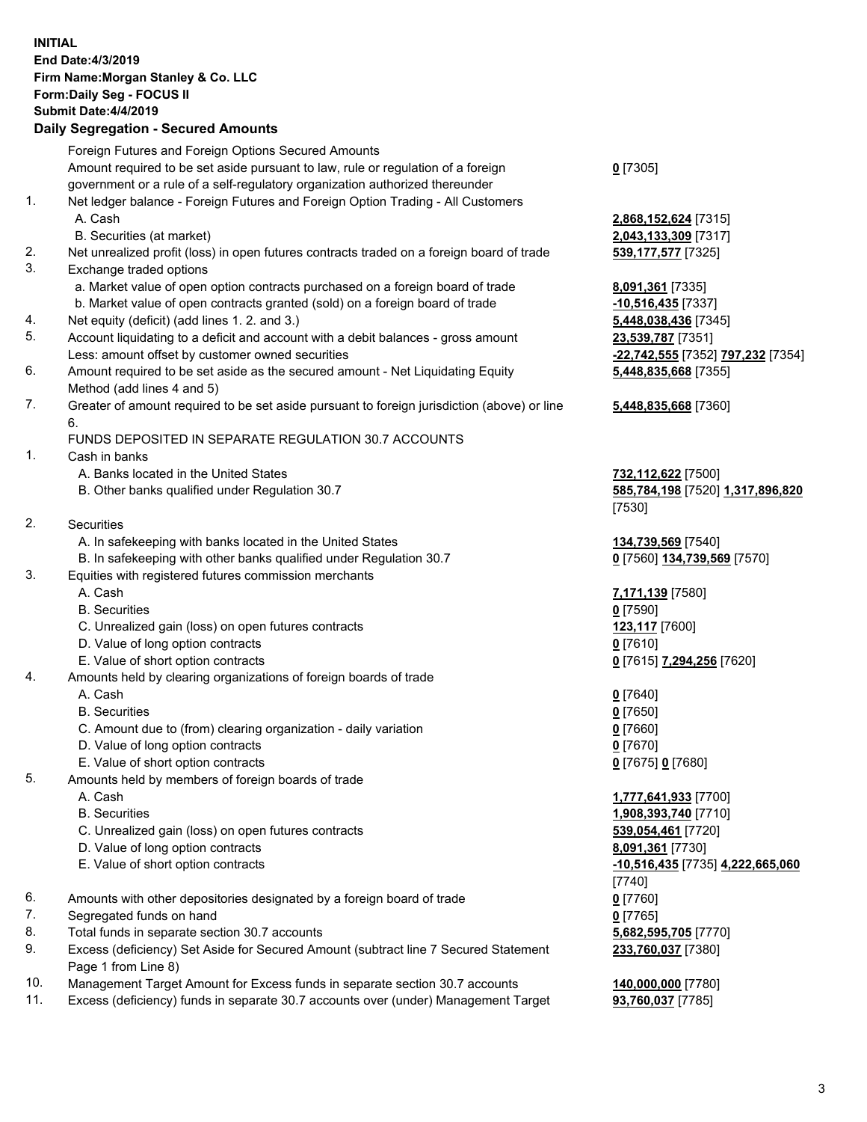## **INITIAL End Date:4/3/2019 Firm Name:Morgan Stanley & Co. LLC Form:Daily Seg - FOCUS II Submit Date:4/4/2019 Daily Segregation - Secured Amounts** Foreign Futures and Foreign Options Secured Amounts Amount required to be set aside pursuant to law, rule or regulation of a foreign government or a rule of a self-regulatory organization authorized thereunder **0** [7305] 1. Net ledger balance - Foreign Futures and Foreign Option Trading - All Customers A. Cash **2,868,152,624** [7315] B. Securities (at market) **2,043,133,309** [7317] 2. Net unrealized profit (loss) in open futures contracts traded on a foreign board of trade **539,177,577** [7325] 3. Exchange traded options a. Market value of open option contracts purchased on a foreign board of trade **8,091,361** [7335] b. Market value of open contracts granted (sold) on a foreign board of trade **-10,516,435** [7337] 4. Net equity (deficit) (add lines 1. 2. and 3.) **5,448,038,436** [7345] 5. Account liquidating to a deficit and account with a debit balances - gross amount **23,539,787** [7351] Less: amount offset by customer owned securities **-22,742,555** [7352] **797,232** [7354] 6. Amount required to be set aside as the secured amount - Net Liquidating Equity Method (add lines 4 and 5) **5,448,835,668** [7355] 7. Greater of amount required to be set aside pursuant to foreign jurisdiction (above) or line 6. **5,448,835,668** [7360] FUNDS DEPOSITED IN SEPARATE REGULATION 30.7 ACCOUNTS 1. Cash in banks A. Banks located in the United States **732,112,622** [7500] B. Other banks qualified under Regulation 30.7 **585,784,198** [7520] **1,317,896,820** [7530] 2. Securities A. In safekeeping with banks located in the United States **134,739,569** [7540] B. In safekeeping with other banks qualified under Regulation 30.7 **0** [7560] **134,739,569** [7570] 3. Equities with registered futures commission merchants A. Cash **7,171,139** [7580] B. Securities **0** [7590] C. Unrealized gain (loss) on open futures contracts **123,117** [7600] D. Value of long option contracts **0** [7610] E. Value of short option contracts **0** [7615] **7,294,256** [7620] 4. Amounts held by clearing organizations of foreign boards of trade A. Cash **0** [7640] B. Securities **0** [7650] C. Amount due to (from) clearing organization - daily variation **0** [7660] D. Value of long option contracts **0** [7670] E. Value of short option contracts **0** [7675] **0** [7680] 5. Amounts held by members of foreign boards of trade A. Cash **1,777,641,933** [7700] B. Securities **1,908,393,740** [7710] C. Unrealized gain (loss) on open futures contracts **539,054,461** [7720] D. Value of long option contracts **8,091,361** [7730] E. Value of short option contracts **-10,516,435** [7735] **4,222,665,060** 6. Amounts with other depositories designated by a foreign board of trade **0** [7760] 7. Segregated funds on hand **0** [7765] 8. Total funds in separate section 30.7 accounts **5,682,595,705** [7770] 9. Excess (deficiency) Set Aside for Secured Amount (subtract line 7 Secured Statement **233,760,037** [7380]

- Page 1 from Line 8) 10. Management Target Amount for Excess funds in separate section 30.7 accounts **140,000,000** [7780]
- 11. Excess (deficiency) funds in separate 30.7 accounts over (under) Management Target **93,760,037** [7785]

[7740]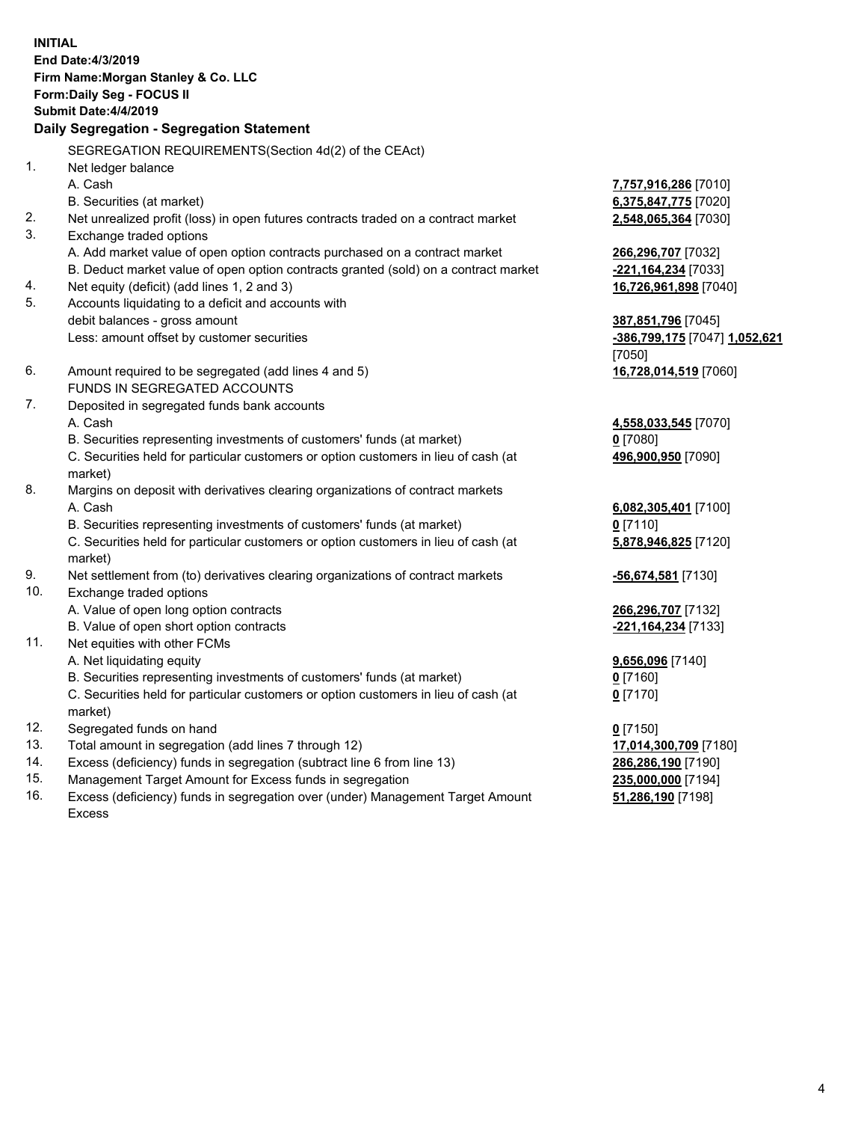**INITIAL End Date:4/3/2019 Firm Name:Morgan Stanley & Co. LLC Form:Daily Seg - FOCUS II Submit Date:4/4/2019 Daily Segregation - Segregation Statement** SEGREGATION REQUIREMENTS(Section 4d(2) of the CEAct) 1. Net ledger balance A. Cash **7,757,916,286** [7010] B. Securities (at market) **6,375,847,775** [7020] 2. Net unrealized profit (loss) in open futures contracts traded on a contract market **2,548,065,364** [7030] 3. Exchange traded options A. Add market value of open option contracts purchased on a contract market **266,296,707** [7032] B. Deduct market value of open option contracts granted (sold) on a contract market **-221,164,234** [7033] 4. Net equity (deficit) (add lines 1, 2 and 3) **16,726,961,898** [7040] 5. Accounts liquidating to a deficit and accounts with debit balances - gross amount **387,851,796** [7045] Less: amount offset by customer securities **-386,799,175** [7047] **1,052,621** [7050] 6. Amount required to be segregated (add lines 4 and 5) **16,728,014,519** [7060] FUNDS IN SEGREGATED ACCOUNTS 7. Deposited in segregated funds bank accounts A. Cash **4,558,033,545** [7070] B. Securities representing investments of customers' funds (at market) **0** [7080] C. Securities held for particular customers or option customers in lieu of cash (at market) **496,900,950** [7090] 8. Margins on deposit with derivatives clearing organizations of contract markets A. Cash **6,082,305,401** [7100] B. Securities representing investments of customers' funds (at market) **0** [7110] C. Securities held for particular customers or option customers in lieu of cash (at market) **5,878,946,825** [7120] 9. Net settlement from (to) derivatives clearing organizations of contract markets **-56,674,581** [7130] 10. Exchange traded options A. Value of open long option contracts **266,296,707** [7132] B. Value of open short option contracts **-221,164,234** [7133] 11. Net equities with other FCMs A. Net liquidating equity **9,656,096** [7140] B. Securities representing investments of customers' funds (at market) **0** [7160] C. Securities held for particular customers or option customers in lieu of cash (at market) **0** [7170] 12. Segregated funds on hand **0** [7150] 13. Total amount in segregation (add lines 7 through 12) **17,014,300,709** [7180] 14. Excess (deficiency) funds in segregation (subtract line 6 from line 13) **286,286,190** [7190]

- 15. Management Target Amount for Excess funds in segregation **235,000,000** [7194]
- 16. Excess (deficiency) funds in segregation over (under) Management Target Amount Excess

**51,286,190** [7198]